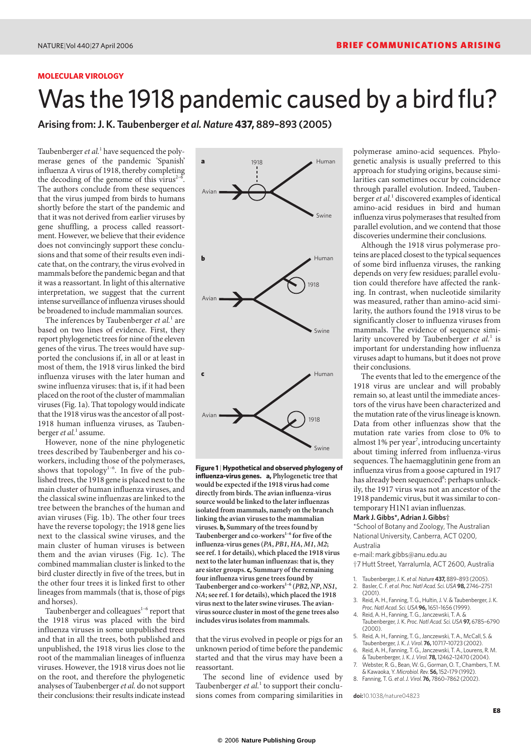### **MOLECULAR VIROLOGY**

# Was the 1918 pandemic caused by a bird flu?

**Arising from: J. K. Taubenberger** *et al. Nature* **437, 889–893 (2005)**

Taubenberger *et al.*<sup>1</sup> have sequenced the polymerase genes of the pandemic 'Spanish' influenza A virus of 1918, thereby completing the decoding of the genome of this virus<sup> $2-6$ </sup>. The authors conclude from these sequences that the virus jumped from birds to humans shortly before the start of the pandemic and that it was not derived from earlier viruses by gene shuffling, a process called reassortment. However, we believe that their evidence does not convincingly support these conclusions and that some of their results even indicate that, on the contrary, the virus evolved in mammals before the pandemic began and that it was a reassortant. In light of this alternative interpretation, we suggest that the current intense surveillance of influenza viruses should be broadened to include mammalian sources.

The inferences by Taubenberger *et al.*<sup>1</sup> are based on two lines of evidence. First, they report phylogenetic trees for nine of the eleven genes of the virus. The trees would have supported the conclusions if, in all or at least in most of them, the 1918 virus linked the bird influenza viruses with the later human and swine influenza viruses: that is, if it had been placed on the root of the cluster of mammalian viruses (Fig. 1a). That topology would indicate that the 1918 virus was the ancestor of all post-1918 human influenza viruses, as Taubenberger *et al.*<sup>1</sup> assume.

However, none of the nine phylogenetic trees described by Taubenberger and his coworkers, including those of the polymerases, shows that topology<sup>1-6</sup>. In five of the published trees, the 1918 gene is placed next to the main cluster of human influenza viruses, and the classical swine influenzas are linked to the tree between the branches of the human and avian viruses (Fig. 1b). The other four trees have the reverse topology; the 1918 gene lies next to the classical swine viruses, and the main cluster of human viruses is between them and the avian viruses (Fig. 1c). The combined mammalian cluster is linked to the bird cluster directly in five of the trees, but in the other four trees it is linked first to other lineages from mammals (that is, those of pigs and horses).

Taubenberger and colleagues $1-6$  report that the 1918 virus was placed with the bird influenza viruses in some unpublished trees and that in all the trees, both published and unpublished, the 1918 virus lies close to the root of the mammalian lineages of influenza viruses. However, the 1918 virus does not lie on the root, and therefore the phylogenetic analyses of Taubenberger *et al.* do not support their conclusions: their results indicate instead



**Figure 1** | **Hypothetical and observed phylogeny of influenza-virus genes. a, Phylogenetic tree that would be expected if the 1918 virus had come directly from birds. The avian influenza-virus source would be linked to the later influenzas isolated from mammals, namely on the branch linking the avian viruses to the mammalian viruses. b, Summary of the trees found by** Taubenberger and co-workers<sup>1-6</sup> for five of the **influenza-virus genes (***PA***,** *PB1***,** *HA***,** *M1***,** *M2***; see ref. 1 for details), which placed the 1918 virus next to the later human influenzas: that is, they are sister groups. c, Summary of the remaining four influenza virus gene trees found by Taubenberger and co-workers1–6 (***PB2***,** *NP***,** *NS1***,** *NA***; see ref. 1 for details), which placed the 1918 virus next to the later swine viruses. The avianvirus source cluster in most of the gene trees also includes virus isolates from mammals.**

that the virus evolved in people or pigs for an unknown period of time before the pandemic started and that the virus may have been a reassortant.

The second line of evidence used by Taubenberger *et al.*<sup>1</sup> to support their conclusions comes from comparing similarities in

polymerase amino-acid sequences. Phylogenetic analysis is usually preferred to this approach for studying origins, because similarities can sometimes occur by coincidence through parallel evolution. Indeed, Taubenberger *et al.*<sup>1</sup> discovered examples of identical amino-acid residues in bird and human influenza virus polymerases that resulted from parallel evolution, and we contend that those discoveries undermine their conclusions.

Although the 1918 virus polymerase proteins are placed closest to the typical sequences of some bird influenza viruses, the ranking depends on very few residues; parallel evolution could therefore have affected the ranking. In contrast, when nucleotide similarity was measured, rather than amino-acid similarity, the authors found the 1918 virus to be significantly closer to influenza viruses from mammals. The evidence of sequence similarity uncovered by Taubenberger *et al.*<sup>1</sup> is important for understanding how influenza viruses adapt to humans, but it does not prove their conclusions.

The events that led to the emergence of the 1918 virus are unclear and will probably remain so, at least until the immediate ancestors of the virus have been characterized and the mutation rate of the virus lineage is known. Data from other influenzas show that the mutation rate varies from close to 0% to almost 1% per year<sup>7</sup>, introducing uncertainty about timing inferred from influenza-virus sequences. The haemagglutinin gene from an influenza virus from a goose captured in 1917 has already been sequenced<sup>8</sup>: perhaps unluckily, the 1917 virus was not an ancestor of the 1918 pandemic virus, but it was similar to contemporary H1N1 avian influenzas.

### **Mark J. Gibbs\*, Adrian J. Gibbs†**

\*School of Botany and Zoology, The Australian National University, Canberra, ACT 0200, Australia

e-mail: mark.gibbs@anu.edu.au

†7 Hutt Street, Yarralumla, ACT 2600, Australia

- 1. Taubenberger, J. K. *et al. Nature* **437,** 889–893 (2005). 2. Basler, C. F. *et al. Proc. Natl Acad. Sci. USA***98,** 2746–2751 (2001).
- 3. Reid, A. H., Fanning, T. G., Hultin, J. V. & Taubenberger, J. K.
- *Proc. Natl Acad. Sci. USA* **96,**1651–1656 (1999). 4. Reid, A. H., Fanning, T. G., Janczewski, T. A. & Taubenberger, J. K. *Proc. Natl Acad. Sci. USA***97,** 6785–6790 (2000).
- 5. Reid, A. H., Fanning, T. G., Janczewski, T. A., McCall, S. & Taubenberger, J. K.*J. Virol.* **76,**10717–10723 (2002).
- 6. Reid, A. H., Fanning, T. G., Janczewski, T. A., Lourens, R. M. & Taubenberger, J. K. *J. Virol.* **78,**12462–12470 (2004).
- 7. Webster, R. G., Bean, W. G., Gorman, O. T., Chambers, T. M. & Kawaoka, Y. *Microbiol. Rev.* **56,**152–179 (1992).
- 8. Fanning, T. G. *et al. J. Virol.* **76,** 7860–7862 (2002).

**doi:**10.1038/nature04823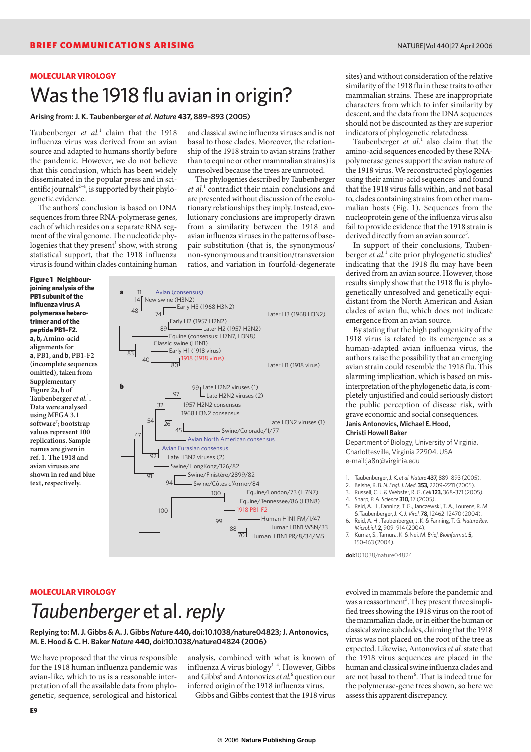### **MOLECULAR VIROLOGY** Was the 1918 flu avian in origin?

**Arising from: J. K. Taubenberger** *et al. Nature* **437, 889–893 (2005)**

Taubenberger *et al.*<sup>1</sup> claim that the 1918 influenza virus was derived from an avian source and adapted to humans shortly before the pandemic. However, we do not believe that this conclusion, which has been widely disseminated in the popular press and in scientific journals<sup>2-4</sup>, is supported by their phylogenetic evidence.

The authors' conclusion is based on DNA sequences from three RNA-polymerase genes, each of which resides on a separate RNA segment of the viral genome. The nucleotide phylogenies that they present<sup>1</sup> show, with strong statistical support, that the 1918 influenza virus is found within clades containing human

**Figure 1** | **Neighbourjoining analysis of the PB1 subunit of the influenza virus A polymerase heterotrimer and of the peptide PB1–F2. a, b, Amino-acid alignments for a, PB1, and b, PB1-F2 (incomplete sequences omitted), taken from Supplementary Figure 2a, b of Taubenberger** *et al.***<sup>1</sup> . Data were analysed using MEGA 3.1 software7 ; bootstrap values represent 100 replications. Sample names are given in ref. 1. The 1918 and avian viruses are shown in red and blue text, respectively.** 

and classical swine influenza viruses and is not basal to those clades. Moreover, the relationship of the 1918 strain to avian strains (rather than to equine or other mammalian strains) is unresolved because the trees are unrooted.

The phylogenies described by Taubenberger *et al.*<sup>1</sup> contradict their main conclusions and are presented without discussion of the evolutionary relationships they imply. Instead, evolutionary conclusions are improperly drawn from a similarity between the 1918 and avian influenza viruses in the patterns of basepair substitution (that is, the synonymous/ non-synonymous and transition/transversion ratios, and variation in fourfold-degenerate



sites) and without consideration of the relative similarity of the 1918 flu in these traits to other mammalian strains. These are inappropriate characters from which to infer similarity by descent, and the data from the DNA sequences should not be discounted as they are superior indicators of phylogenetic relatedness.

Taubenberger *et al.*<sup>1</sup> also claim that the amino-acid sequences encoded by these RNApolymerase genes support the avian nature of the 1918 virus. We reconstructed phylogenies using their amino-acid sequences<sup>1</sup> and found that the 1918 virus falls within, and not basal to, clades containing strains from other mammalian hosts (Fig. 1). Sequences from the nucleoprotein gene of the influenza virus also fail to provide evidence that the 1918 strain is derived directly from an avian source<sup>5</sup>.

In support of their conclusions, Taubenberger *et al.*<sup>1</sup> cite prior phylogenetic studies<sup>6</sup> indicating that the 1918 flu may have been derived from an avian source. However, those results simply show that the 1918 flu is phylogenetically unresolved and genetically equidistant from the North American and Asian clades of avian flu, which does not indicate emergence from an avian source.

By stating that the high pathogenicity of the 1918 virus is related to its emergence as a human-adapted avian influenza virus, the authors raise the possibility that an emerging avian strain could resemble the 1918 flu. This alarming implication, which is based on misinterpretation of the phylogenetic data, is completely unjustified and could seriously distort the public perception of disease risk, with grave economic and social consequences. **Janis Antonovics, Michael E. Hood,**

#### **Christi Howell Baker**

Department of Biology, University of Virginia, Charlottesville, Virginia 22904, USA e-mail:ja8n@virginia.edu

1. Taubenberger, J. K. *et al. Nature* **437,** 889–893 (2005).

- 2. Belshe, R. B. *N. Engl. J. Med.* **353,** 2209–2211 (2005).
- 3. Russell, C. J. & Webster, R. G. *Cell***123,** 368–371 (2005).

4. Sharp, P. A. *Science* **310,**17 (2005).

- 5. Reid, A. H., Fanning, T. G., Janczewski, T. A., Lourens, R. M. & Taubenberger, J. K.*J. Virol.* **78,**12462–12470 (2004).
- 6. Reid, A. H., Taubenberger, J. K. & Fanning, T. G. *Nature Rev. Microbiol.* **2,** 909–914 (2004).
- 7. Kumar, S., Tamura, K. & Nei, M. *Brief. Bioinformat.* **5,** 150–163 (2004).

**doi:**10.1038/nature04824

## **MOLECULAR VIROLOGY** *Taubenberger* et al.*reply*

**Replying to: M. J. Gibbs & A. J. Gibbs** *Nature* **440, doi:10.1038/nature04823; J. Antonovics, M. E. Hood & C. H. Baker** *Nature* **440, doi:10.1038/nature04824 (2006)**

We have proposed that the virus responsible for the 1918 human influenza pandemic was avian-like, which to us is a reasonable interpretation of all the available data from phylogenetic, sequence, serological and historical

analysis, combined with what is known of influenza A virus biology<sup>1-4</sup>. However, Gibbs and Gibbs<sup>5</sup> and Antonovics *et al.*<sup>6</sup> question our inferred origin of the 1918 influenza virus.

Gibbs and Gibbs contest that the 1918 virus

evolved in mammals before the pandemic and was a reassortment<sup>5</sup>. They present three simplified trees showing the 1918 virus on the root of the mammalian clade, or in either the human or classical swine subclades, claiming that the 1918 virus was not placed on the root of the tree as expected. Likewise, Antonovics *et al.*state that the 1918 virus sequences are placed in the human and classical swine influenza clades and are not basal to them<sup>6</sup>. That is indeed true for the polymerase-gene trees shown, so here we assess this apparent discrepancy.